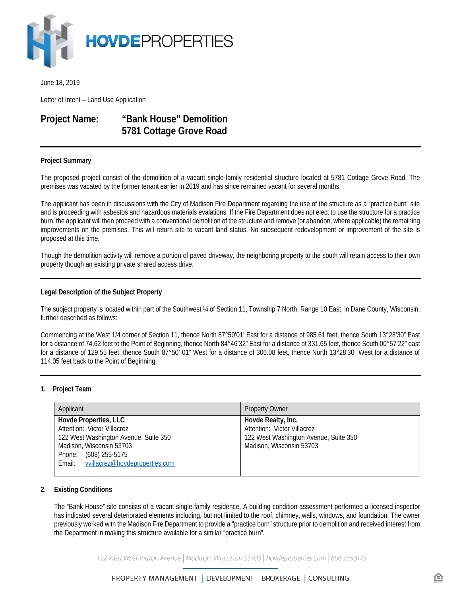

June 18, 2019

Letter of Intent – Land Use Application

# **Project Name: "Bank House" Demolition 5781 Cottage Grove Road**

## **Project Summary**

The proposed project consist of the demolition of a vacant single-family residential structure located at 5781 Cottage Grove Road. The premises was vacated by the former tenant earlier in 2019 and has since remained vacant for several months.

The applicant has been in discussions with the City of Madison Fire Department regarding the use of the structure as a "practice burn" site and is proceeding with asbestos and hazardous materials evalations. If the Fire Department does not elect to use the structure for a practice burn, the applicant will then proceed with a conventional demolition of the structure and remove (or abandon, where applicable) the remaining improvements on the premises. This will return site to vacant land status. No subsequent redevelopment or improvement of the site is proposed at this time.

Though the demolition activity will remove a portion of paved driveway, the neighboring property to the south will retain access to their own property though an existing private shared access drive.

#### **Legal Description of the Subject Property**

The subject property is located within part of the Southwest ¼ of Section 11, Township 7 North, Range 10 East, in Dane County, Wisconsin, further described as follows:

Commencing at the West 1/4 corner of Section 11, thence North 87°50'01' East for a distance of 985.61 feet, thence South 13°28'30" East for a distance of 74.62 feet to the Point of Beginning, thence North 84°46'32" East for a distance of 331.65 feet, thence South 00°57'22" east for a distance of 129.55 feet, thence South 87°50' 01" West for a distance of 306.08 feet, thence North 13°28'30" West for a distance of 114.05 feet back to the Point of Beginning.

## **1. Project Team**

| Applicant                                                                                                                                                                                   | <b>Property Owner</b>                                                                                                  |
|---------------------------------------------------------------------------------------------------------------------------------------------------------------------------------------------|------------------------------------------------------------------------------------------------------------------------|
| Hovde Properties, LLC<br>Attention: Victor Villacrez<br>122 West Washington Avenue, Suite 350<br>Madison, Wisconsin 53703<br>Phone: (608) 255-5175<br>Email: vvillacrez@hovdeproperties.com | Hovde Realty, Inc.<br>Attention: Victor Villacrez<br>122 West Washington Avenue, Suite 350<br>Madison, Wisconsin 53703 |

## **2. Existing Conditions**

The "Bank House" site consists of a vacant single-family residence. A building condition assessment performed a licensed inspector has indicated several deteriorated elements including, but not limited to the roof, chimney, walls, windows, and foundation. The owner previously worked with the Madison Fire Department to provide a "practice burn" structure prior to demolition and received interest from the Department in making this structure available for a similar "practice burn".

122 West Washington Avenue | Madison, Wisconsin 53703 | hovdeproperties.com | 608.255.5175